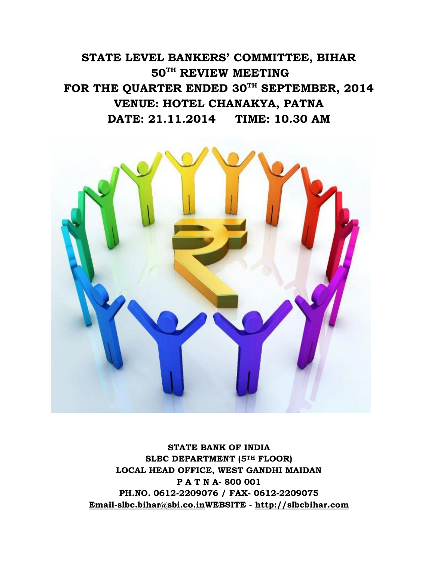**STATE LEVEL BANKERS' COMMITTEE, BIHAR 50TH REVIEW MEETING FOR THE QUARTER ENDED 30TH SEPTEMBER, 2014 VENUE: HOTEL CHANAKYA, PATNA DATE: 21.11.2014 TIME: 10.30 AM**



**STATE BANK OF INDIA SLBC DEPARTMENT (5TH FLOOR) LOCAL HEAD OFFICE, WEST GANDHI MAIDAN P A T N A- 800 001 PH.NO. 0612-2209076 / FAX- 0612-2209075 [Email-slbc.bihar@sbi.co.inW](mailto:Email-slbc.bihar@sbi.co.in)EBSITE - [http://slbcbihar.com](http://slbcbihar.com/)**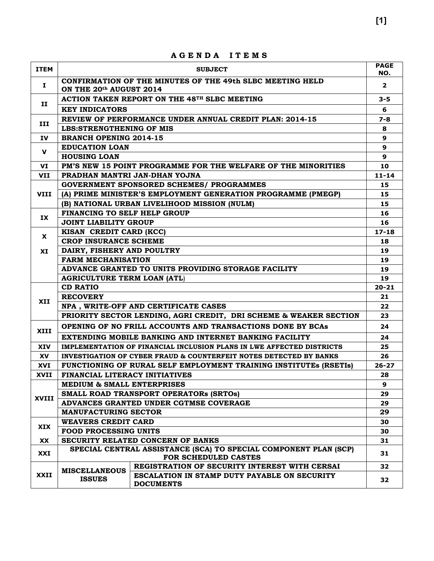|              |                                                                                                | מעמשמ<br>ט ואו שנו                                                            |                    |  |  |
|--------------|------------------------------------------------------------------------------------------------|-------------------------------------------------------------------------------|--------------------|--|--|
| <b>ITEM</b>  |                                                                                                | <b>SUBJECT</b>                                                                | <b>PAGE</b><br>NO. |  |  |
| н.           | ON THE 20th AUGUST 2014                                                                        | CONFIRMATION OF THE MINUTES OF THE 49th SLBC MEETING HELD                     | $\mathbf{2}$       |  |  |
|              |                                                                                                | ACTION TAKEN REPORT ON THE 48 <sup>TH</sup> SLBC MEETING                      | $3 - 5$            |  |  |
| п            | <b>KEY INDICATORS</b>                                                                          |                                                                               | 6                  |  |  |
|              |                                                                                                | REVIEW OF PERFORMANCE UNDER ANNUAL CREDIT PLAN: 2014-15                       | $7 - 8$            |  |  |
| III          | <b>LBS:STRENGTHENING OF MIS</b>                                                                |                                                                               |                    |  |  |
| IV.          | <b>BRANCH OPENING 2014-15</b>                                                                  |                                                                               | 9                  |  |  |
|              | <b>EDUCATION LOAN</b>                                                                          |                                                                               | 9                  |  |  |
| $\mathbf{V}$ | <b>HOUSING LOAN</b>                                                                            |                                                                               | 9                  |  |  |
| VI           |                                                                                                | PM'S NEW 15 POINT PROGRAMME FOR THE WELFARE OF THE MINORITIES                 | 10                 |  |  |
| VII          |                                                                                                | PRADHAN MANTRI JAN-DHAN YOJNA                                                 | $11 - 14$          |  |  |
|              | <b>GOVERNMENT SPONSORED SCHEMES/ PROGRAMMES</b>                                                |                                                                               |                    |  |  |
| <b>VIII</b>  |                                                                                                | (A) PRIME MINISTER'S EMPLOYMENT GENERATION PROGRAMME (PMEGP)                  | 15                 |  |  |
|              |                                                                                                | (B) NATIONAL URBAN LIVELIHOOD MISSION (NULM)                                  | 15                 |  |  |
|              | FINANCING TO SELF HELP GROUP                                                                   |                                                                               | 16                 |  |  |
| IX           | <b>JOINT LIABILITY GROUP</b>                                                                   |                                                                               | 16                 |  |  |
|              | KISAN CREDIT CARD (KCC)                                                                        |                                                                               | $17 - 18$          |  |  |
| X            | <b>CROP INSURANCE SCHEME</b>                                                                   |                                                                               | 18                 |  |  |
| XI           | DAIRY, FISHERY AND POULTRY                                                                     |                                                                               |                    |  |  |
|              | <b>FARM MECHANISATION</b>                                                                      |                                                                               |                    |  |  |
|              | ADVANCE GRANTED TO UNITS PROVIDING STORAGE FACILITY                                            |                                                                               |                    |  |  |
|              | <b>AGRICULTURE TERM LOAN (ATL)</b>                                                             |                                                                               |                    |  |  |
|              | <b>CD RATIO</b>                                                                                |                                                                               |                    |  |  |
|              | <b>RECOVERY</b>                                                                                |                                                                               | 21                 |  |  |
| XII          |                                                                                                | NPA, WRITE-OFF AND CERTIFICATE CASES                                          | 22                 |  |  |
|              |                                                                                                | PRIORITY SECTOR LENDING, AGRI CREDIT, DRI SCHEME & WEAKER SECTION             | 23                 |  |  |
| <b>XIII</b>  |                                                                                                | OPENING OF NO FRILL ACCOUNTS AND TRANSACTIONS DONE BY BCAS                    | 24                 |  |  |
|              | EXTENDING MOBILE BANKING AND INTERNET BANKING FACILITY                                         |                                                                               |                    |  |  |
| <b>XIV</b>   |                                                                                                | IMPLEMENTATION OF FINANCIAL INCLUSION PLANS IN LWE AFFECTED DISTRICTS         | 25                 |  |  |
| <b>XV</b>    |                                                                                                | <b>INVESTIGATION OF CYBER FRAUD &amp; COUNTERFEIT NOTES DETECTED BY BANKS</b> | 26                 |  |  |
| XVI          |                                                                                                | FUNCTIONING OF RURAL SELF EMPLOYMENT TRAINING INSTITUTES (RSETIS)             | $26 - 27$          |  |  |
| XVII         | FINANCIAL LITERACY INITIATIVES                                                                 |                                                                               | 28                 |  |  |
|              | <b>MEDIUM &amp; SMALL ENTERPRISES</b>                                                          |                                                                               | 9                  |  |  |
| XVIII        |                                                                                                | SMALL ROAD TRANSPORT OPERATORS (SRTOS)                                        | 29                 |  |  |
|              |                                                                                                | ADVANCES GRANTED UNDER CGTMSE COVERAGE                                        | 29                 |  |  |
|              | <b>MANUFACTURING SECTOR</b>                                                                    |                                                                               |                    |  |  |
|              | <b>WEAVERS CREDIT CARD</b>                                                                     |                                                                               | 30                 |  |  |
| <b>XIX</b>   | <b>FOOD PROCESSING UNITS</b>                                                                   |                                                                               |                    |  |  |
| XX           |                                                                                                | SECURITY RELATED CONCERN OF BANKS                                             | 31                 |  |  |
| XXI          | SPECIAL CENTRAL ASSISTANCE (SCA) TO SPECIAL COMPONENT PLAN (SCP)<br>31<br>FOR SCHEDULED CASTES |                                                                               |                    |  |  |
|              |                                                                                                | REGISTRATION OF SECURITY INTEREST WITH CERSAI                                 | 32                 |  |  |
| <b>XXII</b>  | <b>MISCELLANEOUS</b>                                                                           | ESCALATION IN STAMP DUTY PAYABLE ON SECURITY                                  |                    |  |  |
|              | <b>ISSUES</b>                                                                                  | <b>DOCUMENTS</b>                                                              | 32                 |  |  |
|              |                                                                                                |                                                                               |                    |  |  |

**A G E N D A I T E M S**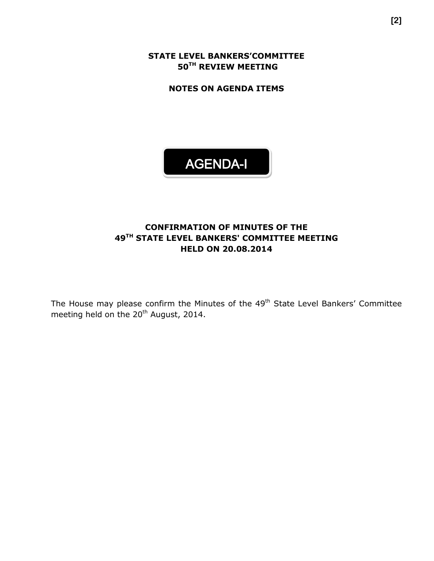**STATE LEVEL BANKERS'COMMITTEE 50TH REVIEW MEETING**

**NOTES ON AGENDA ITEMS**



## **CONFIRMATION OF MINUTES OF THE 49 TH STATE LEVEL BANKERS' COMMITTEE MEETING HELD ON 20.08.2014**

The House may please confirm the Minutes of the 49<sup>th</sup> State Level Bankers' Committee meeting held on the 20<sup>th</sup> August, 2014.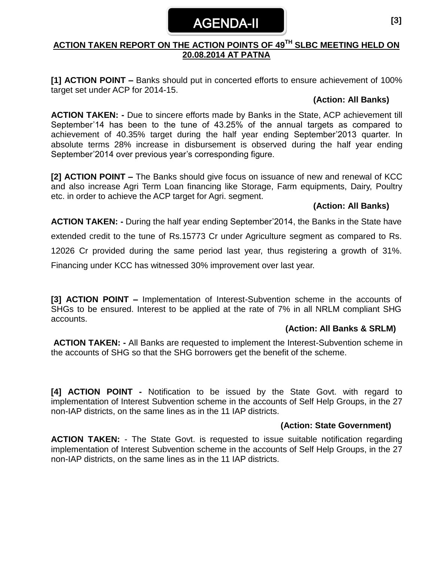# AGENDA-II

## **ACTION TAKEN REPORT ON THE ACTION POINTS OF 49 TH SLBC MEETING HELD ON 20.08.2014 AT PATNA**

**[1] ACTION POINT –** Banks should put in concerted efforts to ensure achievement of 100% target set under ACP for 2014-15.

#### **(Action: All Banks)**

**ACTION TAKEN: -** Due to sincere efforts made by Banks in the State, ACP achievement till September'14 has been to the tune of 43.25% of the annual targets as compared to achievement of 40.35% target during the half year ending September'2013 quarter. In absolute terms 28% increase in disbursement is observed during the half year ending September'2014 over previous year's corresponding figure.

**[2] ACTION POINT –** The Banks should give focus on issuance of new and renewal of KCC and also increase Agri Term Loan financing like Storage, Farm equipments, Dairy, Poultry etc. in order to achieve the ACP target for Agri. segment.

## **(Action: All Banks)**

**ACTION TAKEN: -** During the half year ending September'2014, the Banks in the State have

extended credit to the tune of Rs.15773 Cr under Agriculture segment as compared to Rs.

12026 Cr provided during the same period last year, thus registering a growth of 31%.

Financing under KCC has witnessed 30% improvement over last year.

**[3] ACTION POINT –** Implementation of Interest-Subvention scheme in the accounts of SHGs to be ensured. Interest to be applied at the rate of 7% in all NRLM compliant SHG accounts.

## **(Action: All Banks & SRLM)**

**ACTION TAKEN: -** All Banks are requested to implement the Interest-Subvention scheme in the accounts of SHG so that the SHG borrowers get the benefit of the scheme.

**[4] ACTION POINT -** Notification to be issued by the State Govt. with regard to implementation of Interest Subvention scheme in the accounts of Self Help Groups, in the 27 non-IAP districts, on the same lines as in the 11 IAP districts.

## **(Action: State Government)**

**ACTION TAKEN:** - The State Govt. is requested to issue suitable notification regarding implementation of Interest Subvention scheme in the accounts of Self Help Groups, in the 27 non-IAP districts, on the same lines as in the 11 IAP districts.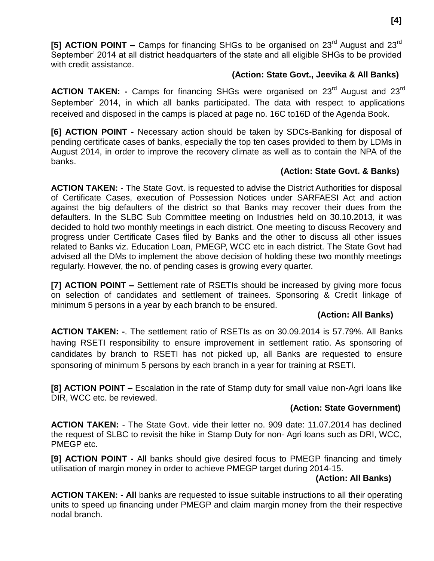**[5] ACTION POINT –** Camps for financing SHGs to be organised on 23<sup>rd</sup> August and 23<sup>rd</sup> September' 2014 at all district headquarters of the state and all eligible SHGs to be provided with credit assistance.

### **(Action: State Govt., Jeevika & All Banks)**

**ACTION TAKEN: -** Camps for financing SHGs were organised on 23<sup>rd</sup> August and 23<sup>rd</sup> September' 2014, in which all banks participated. The data with respect to applications received and disposed in the camps is placed at page no. 16C to16D of the Agenda Book.

**[6] ACTION POINT -** Necessary action should be taken by SDCs-Banking for disposal of pending certificate cases of banks, especially the top ten cases provided to them by LDMs in August 2014, in order to improve the recovery climate as well as to contain the NPA of the banks.

#### **(Action: State Govt. & Banks)**

**ACTION TAKEN:** - The State Govt. is requested to advise the District Authorities for disposal of Certificate Cases, execution of Possession Notices under SARFAESI Act and action against the big defaulters of the district so that Banks may recover their dues from the defaulters. In the SLBC Sub Committee meeting on Industries held on 30.10.2013, it was decided to hold two monthly meetings in each district. One meeting to discuss Recovery and progress under Certificate Cases filed by Banks and the other to discuss all other issues related to Banks viz. Education Loan, PMEGP, WCC etc in each district. The State Govt had advised all the DMs to implement the above decision of holding these two monthly meetings regularly. However, the no. of pending cases is growing every quarter.

**[7] ACTION POINT –** Settlement rate of RSETIs should be increased by giving more focus on selection of candidates and settlement of trainees. Sponsoring & Credit linkage of minimum 5 persons in a year by each branch to be ensured.

## **(Action: All Banks)**

**ACTION TAKEN: -**. The settlement ratio of RSETIs as on 30.09.2014 is 57.79%. All Banks having RSETI responsibility to ensure improvement in settlement ratio. As sponsoring of candidates by branch to RSETI has not picked up, all Banks are requested to ensure sponsoring of minimum 5 persons by each branch in a year for training at RSETI.

**[8] ACTION POINT –** Escalation in the rate of Stamp duty for small value non-Agri loans like DIR, WCC etc. be reviewed.

#### **(Action: State Government)**

**ACTION TAKEN:** - The State Govt. vide their letter no. 909 date: 11.07.2014 has declined the request of SLBC to revisit the hike in Stamp Duty for non- Agri loans such as DRI, WCC, PMEGP etc.

**[9] ACTION POINT -** All banks should give desired focus to PMEGP financing and timely utilisation of margin money in order to achieve PMEGP target during 2014-15.

#### **(Action: All Banks)**

**ACTION TAKEN: - All** banks are requested to issue suitable instructions to all their operating units to speed up financing under PMEGP and claim margin money from the their respective nodal branch.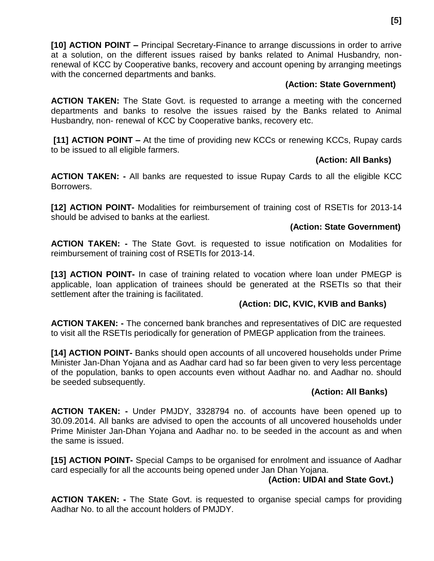**[10] ACTION POINT –** Principal Secretary-Finance to arrange discussions in order to arrive at a solution, on the different issues raised by banks related to Animal Husbandry, nonrenewal of KCC by Cooperative banks, recovery and account opening by arranging meetings with the concerned departments and banks.

## **(Action: State Government)**

**ACTION TAKEN:** The State Govt. is requested to arrange a meeting with the concerned departments and banks to resolve the issues raised by the Banks related to Animal Husbandry, non- renewal of KCC by Cooperative banks, recovery etc.

**[11] ACTION POINT –** At the time of providing new KCCs or renewing KCCs, Rupay cards to be issued to all eligible farmers.

## **(Action: All Banks)**

**ACTION TAKEN: -** All banks are requested to issue Rupay Cards to all the eligible KCC Borrowers.

**[12] ACTION POINT-** Modalities for reimbursement of training cost of RSETIs for 2013-14 should be advised to banks at the earliest.

## **(Action: State Government)**

**ACTION TAKEN: -** The State Govt. is requested to issue notification on Modalities for reimbursement of training cost of RSETIs for 2013-14.

**[13] ACTION POINT-** In case of training related to vocation where loan under PMEGP is applicable, loan application of trainees should be generated at the RSETIs so that their settlement after the training is facilitated.

## **(Action: DIC, KVIC, KVIB and Banks)**

**ACTION TAKEN: -** The concerned bank branches and representatives of DIC are requested to visit all the RSETIs periodically for generation of PMEGP application from the trainees.

**[14] ACTION POINT-** Banks should open accounts of all uncovered households under Prime Minister Jan-Dhan Yojana and as Aadhar card had so far been given to very less percentage of the population, banks to open accounts even without Aadhar no. and Aadhar no. should be seeded subsequently.

## **(Action: All Banks)**

**ACTION TAKEN: -** Under PMJDY, 3328794 no. of accounts have been opened up to 30.09.2014. All banks are advised to open the accounts of all uncovered households under Prime Minister Jan-Dhan Yojana and Aadhar no. to be seeded in the account as and when the same is issued.

**[15] ACTION POINT-** Special Camps to be organised for enrolment and issuance of Aadhar card especially for all the accounts being opened under Jan Dhan Yojana.

## **(Action: UIDAI and State Govt.)**

**ACTION TAKEN: -** The State Govt. is requested to organise special camps for providing Aadhar No. to all the account holders of PMJDY.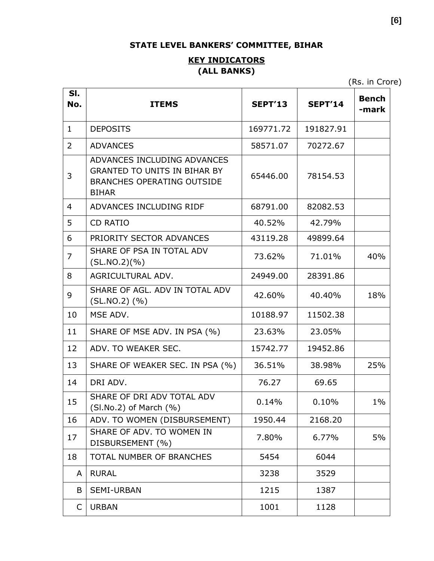## **STATE LEVEL BANKERS' COMMITTEE, BIHAR**

## **KEY INDICATORS (ALL BANKS)**

(Rs. in Crore)

| SI.<br>No.     | <b>ITEMS</b>                                                                                                            | <b>SEPT'13</b> | <b>SEPT'14</b> | <b>Bench</b><br>-mark |
|----------------|-------------------------------------------------------------------------------------------------------------------------|----------------|----------------|-----------------------|
| $\mathbf{1}$   | <b>DEPOSITS</b>                                                                                                         | 169771.72      | 191827.91      |                       |
| $\overline{2}$ | <b>ADVANCES</b>                                                                                                         | 58571.07       | 70272.67       |                       |
| 3              | ADVANCES INCLUDING ADVANCES<br><b>GRANTED TO UNITS IN BIHAR BY</b><br><b>BRANCHES OPERATING OUTSIDE</b><br><b>BIHAR</b> | 65446.00       | 78154.53       |                       |
| 4              | ADVANCES INCLUDING RIDF                                                                                                 | 68791.00       | 82082.53       |                       |
| 5              | <b>CD RATIO</b>                                                                                                         | 40.52%         | 42.79%         |                       |
| 6              | PRIORITY SECTOR ADVANCES                                                                                                | 43119.28       | 49899.64       |                       |
| $\overline{7}$ | SHARE OF PSA IN TOTAL ADV<br>(SL.NO.2)(%)                                                                               | 73.62%         | 71.01%         | 40%                   |
| 8              | AGRICULTURAL ADV.                                                                                                       | 24949.00       | 28391.86       |                       |
| 9              | SHARE OF AGL. ADV IN TOTAL ADV<br>$(SL.NO.2)$ $(\% )$                                                                   | 42.60%         | 40.40%         | 18%                   |
| 10             | MSE ADV.                                                                                                                | 10188.97       | 11502.38       |                       |
| 11             | SHARE OF MSE ADV. IN PSA (%)                                                                                            | 23.63%         | 23.05%         |                       |
| 12             | ADV. TO WEAKER SEC.                                                                                                     | 15742.77       | 19452.86       |                       |
| 13             | SHARE OF WEAKER SEC. IN PSA (%)                                                                                         | 36.51%         | 38.98%         | 25%                   |
| 14             | DRI ADV.                                                                                                                | 76.27          | 69.65          |                       |
| 15             | SHARE OF DRI ADV TOTAL ADV<br>$(SI.No.2)$ of March $(\% )$                                                              | 0.14%          | 0.10%          | $1\%$                 |
| 16             | ADV. TO WOMEN (DISBURSEMENT)                                                                                            | 1950.44        | 2168.20        |                       |
| 17             | SHARE OF ADV. TO WOMEN IN<br>DISBURSEMENT (%)                                                                           | 7.80%          | 6.77%          | 5%                    |
| 18             | <b>TOTAL NUMBER OF BRANCHES</b>                                                                                         | 5454           | 6044           |                       |
| A              | <b>RURAL</b>                                                                                                            | 3238           | 3529           |                       |
| B              | <b>SEMI-URBAN</b>                                                                                                       | 1215           | 1387           |                       |
| C              | <b>URBAN</b>                                                                                                            | 1001           | 1128           |                       |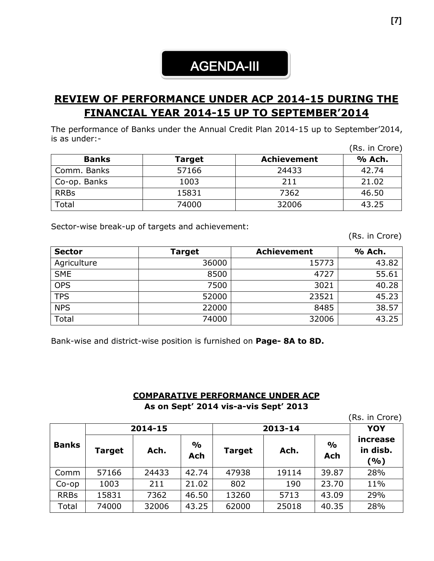# AGENDA-III

# **REVIEW OF PERFORMANCE UNDER ACP 2014-15 DURING THE FINANCIAL YEAR 2014-15 UP TO SEPTEMBER'2014**

The performance of Banks under the Annual Credit Plan 2014-15 up to September'2014, is as under:-

|              |               |                    | (Rs. in Crore) |
|--------------|---------------|--------------------|----------------|
| <b>Banks</b> | <b>Target</b> | <b>Achievement</b> | % Ach.         |
| Comm. Banks  | 57166         | 24433              | 42.74          |
| Co-op. Banks | 1003          | 211                | 21.02          |
| <b>RRBs</b>  | 15831         | 7362               | 46.50          |
| Total        | 74000         | 32006              | 43.25          |

Sector-wise break-up of targets and achievement:

(Rs. in Crore)

| <b>Sector</b> | <b>Target</b> | <b>Achievement</b> | % Ach. |
|---------------|---------------|--------------------|--------|
| Agriculture   | 36000         | 15773              | 43.82  |
| <b>SME</b>    | 8500          | 4727               | 55.61  |
| <b>OPS</b>    | 7500          | 3021               | 40.28  |
| <b>TPS</b>    | 52000         | 23521              | 45.23  |
| <b>NPS</b>    | 22000         | 8485               | 38.57  |
| Total         | 74000         | 32006              | 43.25  |

Bank-wise and district-wise position is furnished on **Page- 8A to 8D.**

#### **COMPARATIVE PERFORMANCE UNDER ACP**

**As on Sept' 2014 vis-a-vis Sept' 2013**

|              |         |       |                      |               |       |                             | (Rs. in Crore)              |
|--------------|---------|-------|----------------------|---------------|-------|-----------------------------|-----------------------------|
|              | 2014-15 |       |                      | 2013-14       |       |                             | <b>YOY</b>                  |
| <b>Banks</b> | Target  | Ach.  | $\frac{0}{0}$<br>Ach | <b>Target</b> | Ach.  | $\frac{0}{0}$<br><b>Ach</b> | increase<br>in disb.<br>(%) |
| Comm         | 57166   | 24433 | 42.74                | 47938         | 19114 | 39.87                       | 28%                         |
| $Co$ -op     | 1003    | 211   | 21.02                | 802           | 190   | 23.70                       | 11%                         |
| <b>RRBs</b>  | 15831   | 7362  | 46.50                | 13260         | 5713  | 43.09                       | 29%                         |
| Total        | 74000   | 32006 | 43.25                | 62000         | 25018 | 40.35                       | 28%                         |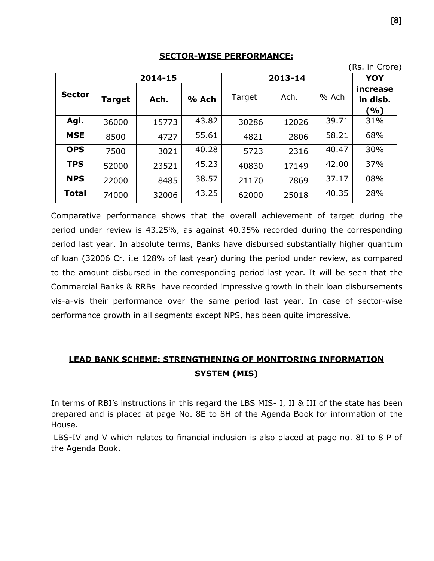#### **SECTOR-WISE PERFORMANCE:**

|               |        |         |       |        |         |       | , טוסוט ווויטרון<br>YOY     |  |
|---------------|--------|---------|-------|--------|---------|-------|-----------------------------|--|
|               |        | 2014-15 |       |        | 2013-14 |       |                             |  |
| <b>Sector</b> | Target | Ach.    | % Ach | Target | Ach.    | % Ach | increase<br>in disb.<br>(%) |  |
| Agl.          | 36000  | 15773   | 43.82 | 30286  | 12026   | 39.71 | 31%                         |  |
| <b>MSE</b>    | 8500   | 4727    | 55.61 | 4821   | 2806    | 58.21 | 68%                         |  |
| <b>OPS</b>    | 7500   | 3021    | 40.28 | 5723   | 2316    | 40.47 | 30%                         |  |
| <b>TPS</b>    | 52000  | 23521   | 45.23 | 40830  | 17149   | 42.00 | 37%                         |  |
| <b>NPS</b>    | 22000  | 8485    | 38.57 | 21170  | 7869    | 37.17 | 08%                         |  |
| <b>Total</b>  | 74000  | 32006   | 43.25 | 62000  | 25018   | 40.35 | 28%                         |  |

Comparative performance shows that the overall achievement of target during the period under review is 43.25%, as against 40.35% recorded during the corresponding period last year. In absolute terms, Banks have disbursed substantially higher quantum of loan (32006 Cr. i.e 128% of last year) during the period under review, as compared to the amount disbursed in the corresponding period last year. It will be seen that the Commercial Banks & RRBs have recorded impressive growth in their loan disbursements vis-a-vis their performance over the same period last year. In case of sector-wise performance growth in all segments except NPS, has been quite impressive.

## **LEAD BANK SCHEME: STRENGTHENING OF MONITORING INFORMATION SYSTEM (MIS)**

In terms of RBI's instructions in this regard the LBS MIS- I, II & III of the state has been prepared and is placed at page No. 8E to 8H of the Agenda Book for information of the House.

LBS-IV and V which relates to financial inclusion is also placed at page no. 8I to 8 P of the Agenda Book.

(Rs. in Crore)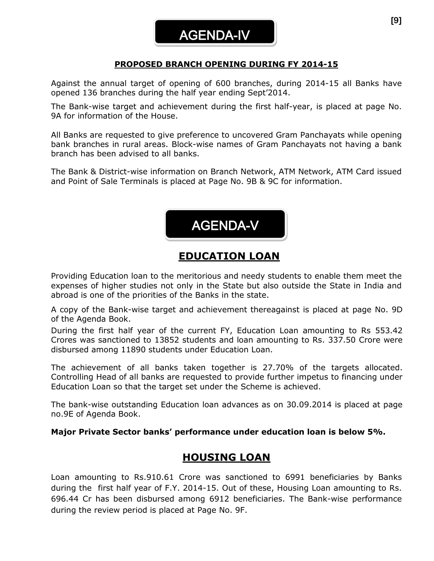## **PROPOSED BRANCH OPENING DURING FY 2014-15**

Against the annual target of opening of 600 branches, during 2014-15 all Banks have opened 136 branches during the half year ending Sept'2014.

The Bank-wise target and achievement during the first half-year, is placed at page No. 9A for information of the House.

All Banks are requested to give preference to uncovered Gram Panchayats while opening bank branches in rural areas. Block-wise names of Gram Panchayats not having a bank branch has been advised to all banks.

The Bank & District-wise information on Branch Network, ATM Network, ATM Card issued and Point of Sale Terminals is placed at Page No. 9B & 9C for information.



AGENDA-V

Providing Education loan to the meritorious and needy students to enable them meet the expenses of higher studies not only in the State but also outside the State in India and abroad is one of the priorities of the Banks in the state.

A copy of the Bank-wise target and achievement thereagainst is placed at page No. 9D of the Agenda Book.

During the first half year of the current FY, Education Loan amounting to Rs 553.42 Crores was sanctioned to 13852 students and loan amounting to Rs. 337.50 Crore were disbursed among 11890 students under Education Loan.

The achievement of all banks taken together is 27.70% of the targets allocated. Controlling Head of all banks are requested to provide further impetus to financing under Education Loan so that the target set under the Scheme is achieved.

The bank-wise outstanding Education loan advances as on 30.09.2014 is placed at page no.9E of Agenda Book.

#### **Major Private Sector banks' performance under education loan is below 5%.**

## **HOUSING LOAN**

Loan amounting to Rs.910.61 Crore was sanctioned to 6991 beneficiaries by Banks during the first half year of F.Y. 2014-15. Out of these, Housing Loan amounting to Rs. 696.44 Cr has been disbursed among 6912 beneficiaries. The Bank-wise performance during the review period is placed at Page No. 9F.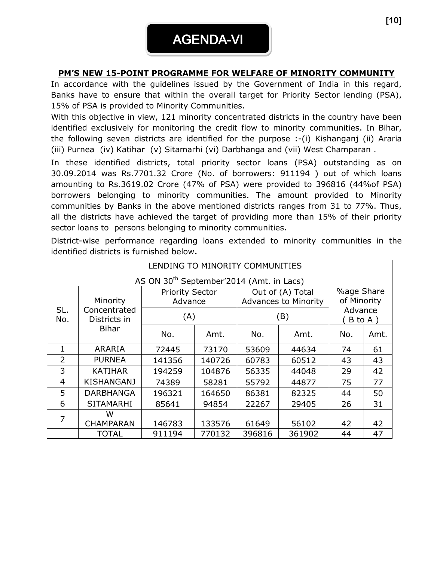## **PM'S NEW 15-POINT PROGRAMME FOR WELFARE OF MINORITY COMMUNITY**

In accordance with the guidelines issued by the Government of India in this regard, Banks have to ensure that within the overall target for Priority Sector lending (PSA), 15% of PSA is provided to Minority Communities.

With this objective in view, 121 minority concentrated districts in the country have been identified exclusively for monitoring the credit flow to minority communities. In Bihar, the following seven districts are identified for the purpose :-(i) Kishanganj (ii) Araria (iii) Purnea (iv) Katihar (v) Sitamarhi (vi) Darbhanga and (vii) West Champaran .

In these identified districts, total priority sector loans (PSA) outstanding as on 30.09.2014 was Rs.7701.32 Crore (No. of borrowers: 911194 ) out of which loans amounting to Rs.3619.02 Crore (47% of PSA) were provided to 396816 (44%of PSA) borrowers belonging to minority communities. The amount provided to Minority communities by Banks in the above mentioned districts ranges from 31 to 77%. Thus, all the districts have achieved the target of providing more than 15% of their priority sector loans to persons belonging to minority communities.

| LENDING TO MINORITY COMMUNITIES |                   |                                                      |        |                                                 |        |                                             |      |
|---------------------------------|-------------------|------------------------------------------------------|--------|-------------------------------------------------|--------|---------------------------------------------|------|
|                                 |                   | AS ON 30 <sup>th</sup> September'2014 (Amt. in Lacs) |        |                                                 |        |                                             |      |
| Minority<br>SL.<br>Concentrated |                   | <b>Priority Sector</b><br>Advance                    |        | Out of (A) Total<br><b>Advances to Minority</b> |        | <b>%age Share</b><br>of Minority<br>Advance |      |
| No.                             | Districts in      | (A)                                                  |        |                                                 | (B)    | B to A)                                     |      |
|                                 | <b>Bihar</b>      | No.                                                  | Amt.   | No.                                             | Amt.   | No.                                         | Amt. |
| $\mathbf{1}$                    | <b>ARARIA</b>     | 72445                                                | 73170  | 53609                                           | 44634  | 74                                          | 61   |
| $\overline{2}$                  | <b>PURNEA</b>     | 141356                                               | 140726 | 60783                                           | 60512  | 43                                          | 43   |
| 3                               | <b>KATIHAR</b>    | 194259                                               | 104876 | 56335                                           | 44048  | 29                                          | 42   |
| 4                               | <b>KISHANGANJ</b> | 74389                                                | 58281  | 55792                                           | 44877  | 75                                          | 77   |
| 5                               | <b>DARBHANGA</b>  | 196321                                               | 164650 | 86381                                           | 82325  | 44                                          | 50   |
| 6                               | <b>SITAMARHI</b>  | 85641                                                | 94854  | 22267                                           | 29405  | 26                                          | 31   |
| 7                               | w                 |                                                      |        |                                                 |        |                                             |      |
|                                 | <b>CHAMPARAN</b>  | 146783                                               | 133576 | 61649                                           | 56102  | 42                                          | 42   |
|                                 | <b>TOTAL</b>      | 911194                                               | 770132 | 396816                                          | 361902 | 44                                          | 47   |

District-wise performance regarding loans extended to minority communities in the identified districts is furnished below**.**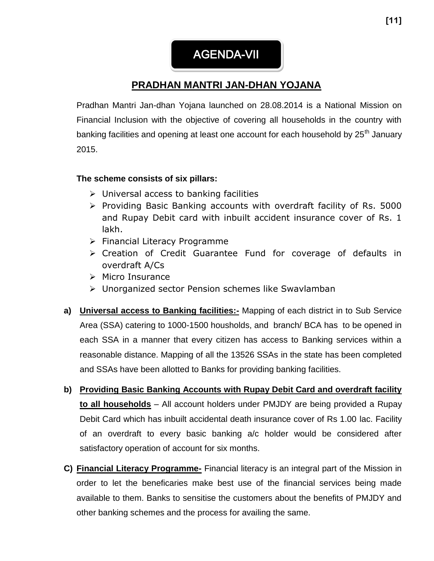AGENDA-VII

# **PRADHAN MANTRI JAN-DHAN YOJANA**

Pradhan Mantri Jan-dhan Yojana launched on 28.08.2014 is a National Mission on Financial Inclusion with the objective of covering all households in the country with banking facilities and opening at least one account for each household by 25<sup>th</sup> January 2015.

## **The scheme consists of six pillars:**

- $\triangleright$  Universal access to banking facilities
- $\triangleright$  Providing Basic Banking accounts with overdraft facility of Rs. 5000 and Rupay Debit card with inbuilt accident insurance cover of Rs. 1 lakh.
- $\triangleright$  Financial Literacy Programme
- Creation of Credit Guarantee Fund for coverage of defaults in overdraft A/Cs
- $\triangleright$  Micro Insurance
- Unorganized sector Pension schemes like Swavlamban
- **a) Universal access to Banking facilities:-** Mapping of each district in to Sub Service Area (SSA) catering to 1000-1500 housholds, and branch/ BCA has to be opened in each SSA in a manner that every citizen has access to Banking services within a reasonable distance. Mapping of all the 13526 SSAs in the state has been completed and SSAs have been allotted to Banks for providing banking facilities.
- **b) Providing Basic Banking Accounts with Rupay Debit Card and overdraft facility to all households** – All account holders under PMJDY are being provided a Rupay Debit Card which has inbuilt accidental death insurance cover of Rs 1.00 lac. Facility of an overdraft to every basic banking a/c holder would be considered after satisfactory operation of account for six months.
- **C) Financial Literacy Programme-** Financial literacy is an integral part of the Mission in order to let the beneficaries make best use of the financial services being made available to them. Banks to sensitise the customers about the benefits of PMJDY and other banking schemes and the process for availing the same.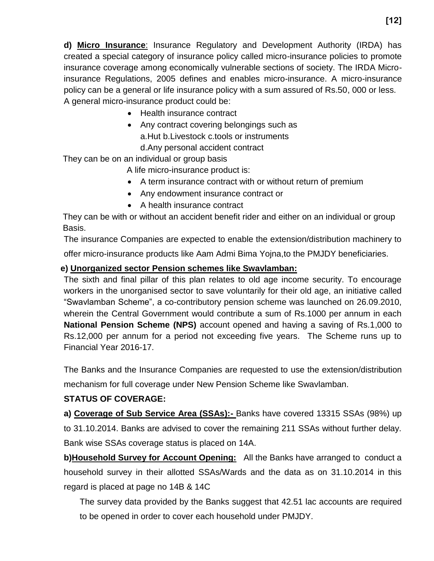**d) Micro Insurance**: Insurance Regulatory and Development Authority (IRDA) has created a special category of insurance policy called micro-insurance policies to promote insurance coverage among economically vulnerable sections of society. The IRDA Microinsurance Regulations, 2005 defines and enables micro-insurance. A micro-insurance policy can be a general or life insurance policy with a sum assured of Rs.50, 000 or less. A general micro-insurance product could be:

- Health insurance contract
- Any contract covering belongings such as a.Hut b.Livestock c.tools or instruments

d.Any personal accident contract

They can be on an individual or group basis

A life micro-insurance product is:

- A term insurance contract with or without return of premium
- Any endowment insurance contract or
- A health insurance contract

 They can be with or without an accident benefit rider and either on an individual or group Basis.

The insurance Companies are expected to enable the extension/distribution machinery to offer micro-insurance products like Aam Admi Bima Yojna,to the PMJDY beneficiaries.

## **e) Unorganized sector Pension schemes like Swavlamban:**

The sixth and final pillar of this plan relates to old age income security. To encourage workers in the unorganised sector to save voluntarily for their old age, an initiative called "Swavlamban Scheme", a co-contributory pension scheme was launched on 26.09.2010, wherein the Central Government would contribute a sum of Rs.1000 per annum in each **National Pension Scheme (NPS)** account opened and having a saving of Rs.1,000 to Rs.12,000 per annum for a period not exceeding five years. The Scheme runs up to Financial Year 2016-17.

The Banks and the Insurance Companies are requested to use the extension/distribution

mechanism for full coverage under New Pension Scheme like Swavlamban.

## **STATUS OF COVERAGE:**

**a) Coverage of Sub Service Area (SSAs):-** Banks have covered 13315 SSAs (98%) up

to 31.10.2014. Banks are advised to cover the remaining 211 SSAs without further delay. Bank wise SSAs coverage status is placed on 14A.

**b)Household Survey for Account Opening:** All the Banks have arranged to conduct a household survey in their allotted SSAs/Wards and the data as on 31.10.2014 in this regard is placed at page no 14B & 14C

The survey data provided by the Banks suggest that 42.51 lac accounts are required to be opened in order to cover each household under PMJDY.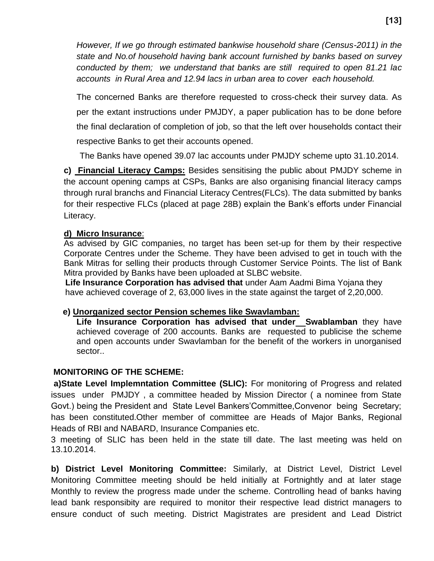*However, If we go through estimated bankwise household share (Census-2011) in the state and No.of household having bank account furnished by banks based on survey conducted by them; we understand that banks are still required to open 81.21 lac accounts in Rural Area and 12.94 lacs in urban area to cover each household.*

The concerned Banks are therefore requested to cross-check their survey data. As per the extant instructions under PMJDY, a paper publication has to be done before the final declaration of completion of job, so that the left over households contact their respective Banks to get their accounts opened.

The Banks have opened 39.07 lac accounts under PMJDY scheme upto 31.10.2014.

**c) Financial Literacy Camps:** Besides sensitising the public about PMJDY scheme in the account opening camps at CSPs, Banks are also organising financial literacy camps through rural branchs and Financial Literacy Centres(FLCs). The data submitted by banks for their respective FLCs (placed at page 28B) explain the Bank's efforts under Financial Literacy.

#### **d) Micro Insurance**:

As advised by GIC companies, no target has been set-up for them by their respective Corporate Centres under the Scheme. They have been advised to get in touch with the Bank Mitras for selling their products through Customer Service Points. The list of Bank Mitra provided by Banks have been uploaded at SLBC website.

 **Life Insurance Corporation has advised that** under Aam Aadmi Bima Yojana they have achieved coverage of 2, 63,000 lives in the state against the target of 2,20,000.

#### **e) Unorganized sector Pension schemes like Swavlamban:**

Life Insurance Corporation has advised that under\_Swablamban they have achieved coverage of 200 accounts. Banks are requested to publicise the scheme and open accounts under Swavlamban for the benefit of the workers in unorganised sector..

#### **MONITORING OF THE SCHEME:**

**a)State Level Implemntation Committee (SLIC):** For monitoring of Progress and related issues under PMJDY , a committee headed by Mission Director ( a nominee from State Govt.) being the President and State Level Bankers'Committee,Convenor being Secretary; has been constituted.Other member of committee are Heads of Major Banks, Regional Heads of RBI and NABARD, Insurance Companies etc.

3 meeting of SLIC has been held in the state till date. The last meeting was held on 13.10.2014.

**b) District Level Monitoring Committee:** Similarly, at District Level, District Level Monitoring Committee meeting should be held initially at Fortnightly and at later stage Monthly to review the progress made under the scheme. Controlling head of banks having lead bank responsibity are required to monitor their respective lead district managers to ensure conduct of such meeting. District Magistrates are president and Lead District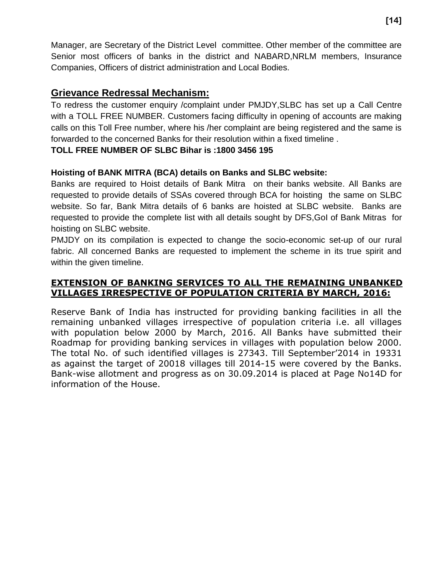Manager, are Secretary of the District Level committee. Other member of the committee are Senior most officers of banks in the district and NABARD,NRLM members, Insurance Companies, Officers of district administration and Local Bodies.

## **Grievance Redressal Mechanism:**

To redress the customer enquiry /complaint under PMJDY,SLBC has set up a Call Centre with a TOLL FREE NUMBER. Customers facing difficulty in opening of accounts are making calls on this Toll Free number, where his /her complaint are being registered and the same is forwarded to the concerned Banks for their resolution within a fixed timeline .

## **TOLL FREE NUMBER OF SLBC Bihar is :1800 3456 195**

## **Hoisting of BANK MITRA (BCA) details on Banks and SLBC website:**

Banks are required to Hoist details of Bank Mitra on their banks website. All Banks are requested to provide details of SSAs covered through BCA for hoisting the same on SLBC website. So far, Bank Mitra details of 6 banks are hoisted at SLBC website. Banks are requested to provide the complete list with all details sought by DFS,GoI of Bank Mitras for hoisting on SLBC website.

PMJDY on its compilation is expected to change the socio-economic set-up of our rural fabric. All concerned Banks are requested to implement the scheme in its true spirit and within the given timeline.

## **EXTENSION OF BANKING SERVICES TO ALL THE REMAINING UNBANKED VILLAGES IRRESPECTIVE OF POPULATION CRITERIA BY MARCH, 2016:**

Reserve Bank of India has instructed for providing banking facilities in all the remaining unbanked villages irrespective of population criteria i.e. all villages with population below 2000 by March, 2016. All Banks have submitted their Roadmap for providing banking services in villages with population below 2000. The total No. of such identified villages is 27343. Till September'2014 in 19331 as against the target of 20018 villages till 2014-15 were covered by the Banks. Bank-wise allotment and progress as on 30.09.2014 is placed at Page No14D for information of the House.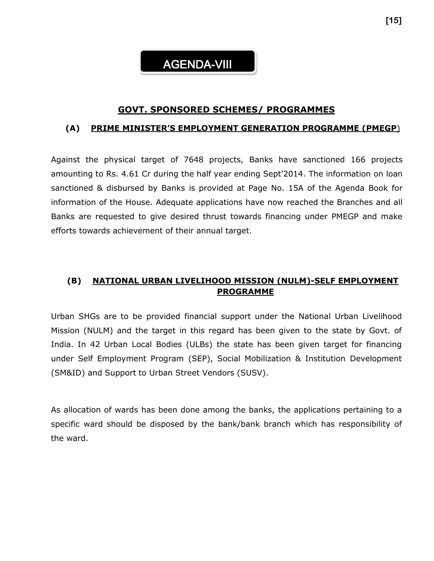# AGENDA-VIII

## **GOVT. SPONSORED SCHEMES/ PROGRAMMES**

#### **(A) PRIME MINISTER'S EMPLOYMENT GENERATION PROGRAMME (PMEGP**)

Against the physical target of 7648 projects, Banks have sanctioned 166 projects amounting to Rs. 4.61 Cr during the half year ending Sept'2014. The information on loan sanctioned & disbursed by Banks is provided at Page No. 15A of the Agenda Book for information of the House. Adequate applications have now reached the Branches and all Banks are requested to give desired thrust towards financing under PMEGP and make efforts towards achievement of their annual target.

## **(B) NATIONAL URBAN LIVELIHOOD MISSION (NULM)-SELF EMPLOYMENT PROGRAMME**

Urban SHGs are to be provided financial support under the National Urban Livelihood Mission (NULM) and the target in this regard has been given to the state by Govt. of India. In 42 Urban Local Bodies (ULBs) the state has been given target for financing under Self Employment Program (SEP), Social Mobilization & Institution Development (SM&ID) and Support to Urban Street Vendors (SUSV).

As allocation of wards has been done among the banks, the applications pertaining to a specific ward should be disposed by the bank/bank branch which has responsibility of the ward.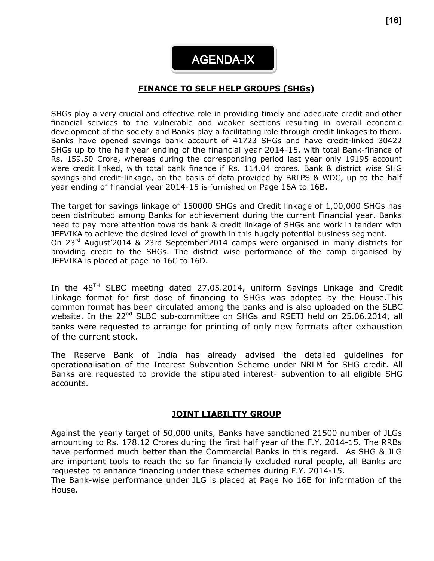AGENDA-IX

#### **FINANCE TO SELF HELP GROUPS (SHGs)**

SHGs play a very crucial and effective role in providing timely and adequate credit and other financial services to the vulnerable and weaker sections resulting in overall economic development of the society and Banks play a facilitating role through credit linkages to them. Banks have opened savings bank account of 41723 SHGs and have credit-linked 30422 SHGs up to the half year ending of the financial year 2014-15, with total Bank-finance of Rs. 159.50 Crore, whereas during the corresponding period last year only 19195 account were credit linked, with total bank finance if Rs. 114.04 crores. Bank & district wise SHG savings and credit-linkage, on the basis of data provided by BRLPS & WDC, up to the half year ending of financial year 2014-15 is furnished on Page 16A to 16B.

The target for savings linkage of 150000 SHGs and Credit linkage of 1,00,000 SHGs has been distributed among Banks for achievement during the current Financial year. Banks need to pay more attention towards bank & credit linkage of SHGs and work in tandem with JEEVIKA to achieve the desired level of growth in this hugely potential business segment. On 23rd August'2014 & 23rd September'2014 camps were organised in many districts for providing credit to the SHGs. The district wise performance of the camp organised by JEEVIKA is placed at page no 16C to 16D.

In the  $48<sup>TH</sup>$  SLBC meeting dated 27.05.2014, uniform Savings Linkage and Credit Linkage format for first dose of financing to SHGs was adopted by the House.This common format has been circulated among the banks and is also uploaded on the SLBC website. In the 22<sup>nd</sup> SLBC sub-committee on SHGs and RSETI held on 25.06.2014, all banks were requested to arrange for printing of only new formats after exhaustion of the current stock.

The Reserve Bank of India has already advised the detailed guidelines for operationalisation of the Interest Subvention Scheme under NRLM for SHG credit. All Banks are requested to provide the stipulated interest- subvention to all eligible SHG accounts.

#### **JOINT LIABILITY GROUP**

Against the yearly target of 50,000 units, Banks have sanctioned 21500 number of JLGs amounting to Rs. 178.12 Crores during the first half year of the F.Y. 2014-15. The RRBs have performed much better than the Commercial Banks in this regard. As SHG & JLG are important tools to reach the so far financially excluded rural people, all Banks are requested to enhance financing under these schemes during F.Y. 2014-15.

The Bank-wise performance under JLG is placed at Page No 16E for information of the House.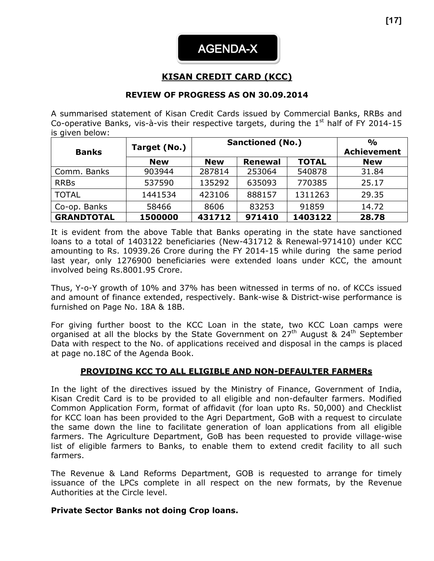

## **KISAN CREDIT CARD (KCC)**

#### **REVIEW OF PROGRESS AS ON 30.09.2014**

A summarised statement of Kisan Credit Cards issued by Commercial Banks, RRBs and Co-operative Banks, vis-à-vis their respective targets, during the  $1<sup>st</sup>$  half of FY 2014-15 is given below:

|                   | Target (No.) | <b>Sanctioned (No.)</b> | $\frac{1}{2}$      |              |            |
|-------------------|--------------|-------------------------|--------------------|--------------|------------|
| <b>Banks</b>      |              |                         | <b>Achievement</b> |              |            |
|                   | <b>New</b>   | <b>New</b>              | <b>Renewal</b>     | <b>TOTAL</b> | <b>New</b> |
| Comm. Banks       | 903944       | 287814                  | 253064             | 540878       | 31.84      |
| <b>RRBs</b>       | 537590       | 135292                  | 635093             | 770385       | 25.17      |
| <b>TOTAL</b>      | 1441534      | 423106                  | 888157             | 1311263      | 29.35      |
| Co-op. Banks      | 58466        | 8606                    | 83253              | 91859        | 14.72      |
| <b>GRANDTOTAL</b> | 1500000      | 431712                  | 971410             | 1403122      | 28.78      |

It is evident from the above Table that Banks operating in the state have sanctioned loans to a total of 1403122 beneficiaries (New-431712 & Renewal-971410) under KCC amounting to Rs. 10939.26 Crore during the FY 2014-15 while during the same period last year, only 1276900 beneficiaries were extended loans under KCC, the amount involved being Rs.8001.95 Crore.

Thus, Y-o-Y growth of 10% and 37% has been witnessed in terms of no. of KCCs issued and amount of finance extended, respectively. Bank-wise & District-wise performance is furnished on Page No. 18A & 18B.

For giving further boost to the KCC Loan in the state, two KCC Loan camps were organised at all the blocks by the State Government on  $27<sup>th</sup>$  August &  $24<sup>th</sup>$  September Data with respect to the No. of applications received and disposal in the camps is placed at page no.18C of the Agenda Book.

#### **PROVIDING KCC TO ALL ELIGIBLE AND NON-DEFAULTER FARMERs**

In the light of the directives issued by the Ministry of Finance, Government of India, Kisan Credit Card is to be provided to all eligible and non-defaulter farmers. Modified Common Application Form, format of affidavit (for loan upto Rs. 50,000) and Checklist for KCC loan has been provided to the Agri Department, GoB with a request to circulate the same down the line to facilitate generation of loan applications from all eligible farmers. The Agriculture Department, GoB has been requested to provide village-wise list of eligible farmers to Banks, to enable them to extend credit facility to all such farmers.

The Revenue & Land Reforms Department, GOB is requested to arrange for timely issuance of the LPCs complete in all respect on the new formats, by the Revenue Authorities at the Circle level.

#### **Private Sector Banks not doing Crop loans.**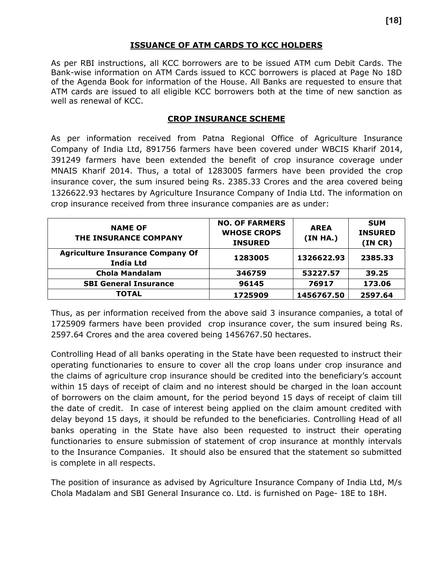## **ISSUANCE OF ATM CARDS TO KCC HOLDERS**

As per RBI instructions, all KCC borrowers are to be issued ATM cum Debit Cards. The Bank-wise information on ATM Cards issued to KCC borrowers is placed at Page No 18D of the Agenda Book for information of the House. All Banks are requested to ensure that ATM cards are issued to all eligible KCC borrowers both at the time of new sanction as well as renewal of KCC.

## **CROP INSURANCE SCHEME**

As per information received from Patna Regional Office of Agriculture Insurance Company of India Ltd, 891756 farmers have been covered under WBCIS Kharif 2014, 391249 farmers have been extended the benefit of crop insurance coverage under MNAIS Kharif 2014. Thus, a total of 1283005 farmers have been provided the crop insurance cover, the sum insured being Rs. 2385.33 Crores and the area covered being 1326622.93 hectares by Agriculture Insurance Company of India Ltd. The information on crop insurance received from three insurance companies are as under:

| <b>NAME OF</b><br>THE INSURANCE COMPANY                     | <b>NO. OF FARMERS</b><br><b>WHOSE CROPS</b><br><b>INSURED</b> | <b>AREA</b><br>(IN HA.) | <b>SUM</b><br><b>INSURED</b><br>(INCR) |
|-------------------------------------------------------------|---------------------------------------------------------------|-------------------------|----------------------------------------|
| <b>Agriculture Insurance Company Of</b><br><b>India Ltd</b> | 1283005                                                       | 1326622.93              | 2385.33                                |
| <b>Chola Mandalam</b>                                       | 346759                                                        | 53227.57                | 39.25                                  |
| <b>SBI General Insurance</b>                                | 96145                                                         | 76917                   | 173.06                                 |
| <b>TOTAL</b>                                                | 1725909                                                       | 1456767.50              | 2597.64                                |

Thus, as per information received from the above said 3 insurance companies, a total of 1725909 farmers have been provided crop insurance cover, the sum insured being Rs. 2597.64 Crores and the area covered being 1456767.50 hectares.

Controlling Head of all banks operating in the State have been requested to instruct their operating functionaries to ensure to cover all the crop loans under crop insurance and the claims of agriculture crop insurance should be credited into the beneficiary's account within 15 days of receipt of claim and no interest should be charged in the loan account of borrowers on the claim amount, for the period beyond 15 days of receipt of claim till the date of credit. In case of interest being applied on the claim amount credited with delay beyond 15 days, it should be refunded to the beneficiaries. Controlling Head of all banks operating in the State have also been requested to instruct their operating functionaries to ensure submission of statement of crop insurance at monthly intervals to the Insurance Companies. It should also be ensured that the statement so submitted is complete in all respects.

The position of insurance as advised by Agriculture Insurance Company of India Ltd, M/s Chola Madalam and SBI General Insurance co. Ltd. is furnished on Page- 18E to 18H.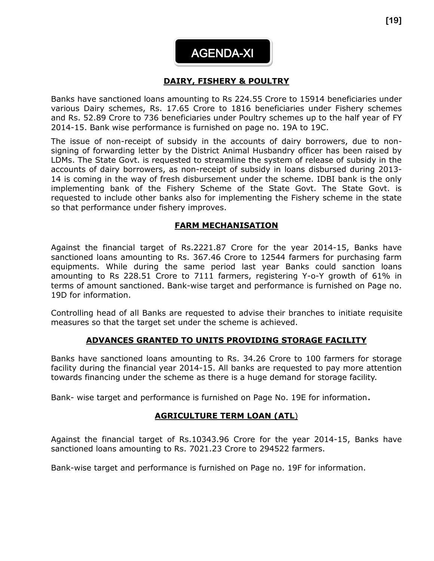

#### **DAIRY, FISHERY & POULTRY**   $\overline{\phantom{a}}$

Banks have sanctioned loans amounting to Rs 224.55 Crore to 15914 beneficiaries under various Dairy schemes, Rs. 17.65 Crore to 1816 beneficiaries under Fishery schemes and Rs. 52.89 Crore to 736 beneficiaries under Poultry schemes up to the half year of FY 2014-15. Bank wise performance is furnished on page no. 19A to 19C.

The issue of non-receipt of subsidy in the accounts of dairy borrowers, due to nonsigning of forwarding letter by the District Animal Husbandry officer has been raised by LDMs. The State Govt. is requested to streamline the system of release of subsidy in the accounts of dairy borrowers, as non-receipt of subsidy in loans disbursed during 2013- 14 is coming in the way of fresh disbursement under the scheme. IDBI bank is the only implementing bank of the Fishery Scheme of the State Govt. The State Govt. is requested to include other banks also for implementing the Fishery scheme in the state so that performance under fishery improves.

#### **FARM MECHANISATION**

Against the financial target of Rs.2221.87 Crore for the year 2014-15, Banks have sanctioned loans amounting to Rs. 367.46 Crore to 12544 farmers for purchasing farm equipments. While during the same period last year Banks could sanction loans amounting to Rs 228.51 Crore to 7111 farmers, registering Y-o-Y growth of 61% in terms of amount sanctioned. Bank-wise target and performance is furnished on Page no. 19D for information.

Controlling head of all Banks are requested to advise their branches to initiate requisite measures so that the target set under the scheme is achieved.

#### **ADVANCES GRANTED TO UNITS PROVIDING STORAGE FACILITY**

Banks have sanctioned loans amounting to Rs. 34.26 Crore to 100 farmers for storage facility during the financial year 2014-15. All banks are requested to pay more attention towards financing under the scheme as there is a huge demand for storage facility.

Bank- wise target and performance is furnished on Page No. 19E for information.

#### **AGRICULTURE TERM LOAN (ATL**)

Against the financial target of Rs.10343.96 Crore for the year 2014-15, Banks have sanctioned loans amounting to Rs. 7021.23 Crore to 294522 farmers.

Bank-wise target and performance is furnished on Page no. 19F for information.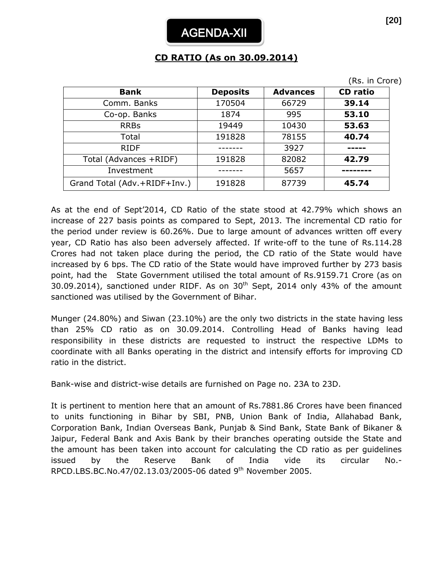# **CD RATIO (As on 30.09.2014)**

|                              |                 |                 | (Rs. in Crore)  |
|------------------------------|-----------------|-----------------|-----------------|
| <b>Bank</b>                  | <b>Deposits</b> | <b>Advances</b> | <b>CD</b> ratio |
| Comm. Banks                  | 170504          | 66729           | 39.14           |
| Co-op. Banks                 | 1874            | 995             | 53.10           |
| <b>RRBs</b>                  | 19449           | 10430           | 53.63           |
| Total                        | 191828          | 78155           | 40.74           |
| <b>RIDF</b>                  |                 | 3927            |                 |
| Total (Advances +RIDF)       | 191828          | 82082           | 42.79           |
| Investment                   |                 | 5657            |                 |
| Grand Total (Adv.+RIDF+Inv.) | 191828          | 87739           | 45.74           |

As at the end of Sept'2014, CD Ratio of the state stood at 42.79% which shows an increase of 227 basis points as compared to Sept, 2013. The incremental CD ratio for the period under review is 60.26%. Due to large amount of advances written off every year, CD Ratio has also been adversely affected. If write-off to the tune of Rs.114.28 Crores had not taken place during the period, the CD ratio of the State would have increased by 6 bps. The CD ratio of the State would have improved further by 273 basis point, had the State Government utilised the total amount of Rs.9159.71 Crore (as on 30.09.2014), sanctioned under RIDF. As on  $30<sup>th</sup>$  Sept, 2014 only 43% of the amount sanctioned was utilised by the Government of Bihar.

Munger (24.80%) and Siwan (23.10%) are the only two districts in the state having less than 25% CD ratio as on 30.09.2014. Controlling Head of Banks having lead responsibility in these districts are requested to instruct the respective LDMs to coordinate with all Banks operating in the district and intensify efforts for improving CD ratio in the district.

Bank-wise and district-wise details are furnished on Page no. 23A to 23D.

It is pertinent to mention here that an amount of Rs.7881.86 Crores have been financed to units functioning in Bihar by SBI, PNB, Union Bank of India, Allahabad Bank, Corporation Bank, Indian Overseas Bank, Punjab & Sind Bank, State Bank of Bikaner & Jaipur, Federal Bank and Axis Bank by their branches operating outside the State and the amount has been taken into account for calculating the CD ratio as per guidelines issued by the Reserve Bank of India vide its circular No.- RPCD.LBS.BC.No.47/02.13.03/2005-06 dated 9th November 2005.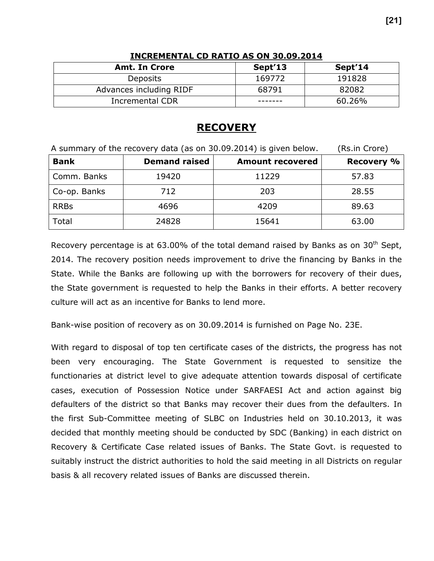| <b>Amt. In Crore</b>    | Sept'13 | Sept'14 |
|-------------------------|---------|---------|
| Deposits                | 169772  | 191828  |
| Advances including RIDF | 68791   | 82082   |
| <b>Incremental CDR</b>  |         | 60.26%  |

#### **INCREMENTAL CD RATIO AS ON 30.09.2014**

## **RECOVERY**

| A summary of the recovery data (as on 30.09.2014) is given below. | (Rs.in Crore)        |                         |                   |
|-------------------------------------------------------------------|----------------------|-------------------------|-------------------|
| <b>Bank</b>                                                       | <b>Demand raised</b> | <b>Amount recovered</b> | <b>Recovery %</b> |
| Comm. Banks                                                       | 19420                | 11229                   | 57.83             |
| Co-op. Banks                                                      | 712                  | 203                     | 28.55             |
| <b>RRBs</b>                                                       | 4696                 | 4209                    | 89.63             |
| Total                                                             | 24828                | 15641                   | 63.00             |

Recovery percentage is at 63.00% of the total demand raised by Banks as on  $30<sup>th</sup>$  Sept, 2014. The recovery position needs improvement to drive the financing by Banks in the State. While the Banks are following up with the borrowers for recovery of their dues, the State government is requested to help the Banks in their efforts. A better recovery culture will act as an incentive for Banks to lend more.

Bank-wise position of recovery as on 30.09.2014 is furnished on Page No. 23E.

With regard to disposal of top ten certificate cases of the districts, the progress has not been very encouraging. The State Government is requested to sensitize the functionaries at district level to give adequate attention towards disposal of certificate cases, execution of Possession Notice under SARFAESI Act and action against big defaulters of the district so that Banks may recover their dues from the defaulters. In the first Sub-Committee meeting of SLBC on Industries held on 30.10.2013, it was decided that monthly meeting should be conducted by SDC (Banking) in each district on Recovery & Certificate Case related issues of Banks. The State Govt. is requested to suitably instruct the district authorities to hold the said meeting in all Districts on regular basis & all recovery related issues of Banks are discussed therein.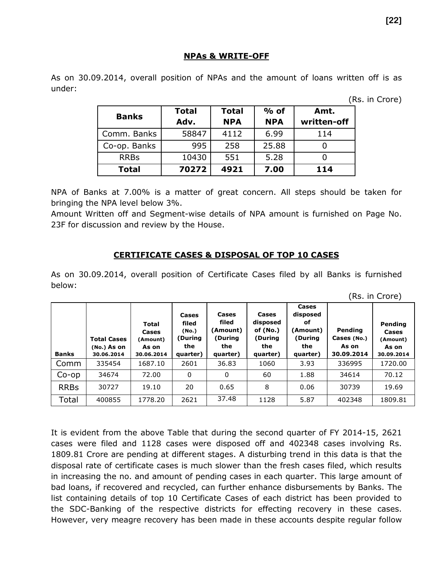#### **NPAs & WRITE-OFF**

As on 30.09.2014, overall position of NPAs and the amount of loans written off is as under:

(Rs. in Crore)

| <b>Banks</b> | <b>Total</b> | <b>Total</b> | $%$ of     | Amt.        |  |
|--------------|--------------|--------------|------------|-------------|--|
|              | Adv.         | <b>NPA</b>   | <b>NPA</b> | written-off |  |
| Comm. Banks  | 58847        | 4112         | 6.99       | 114         |  |
| Co-op. Banks | 995          | 258          | 25.88      |             |  |
| <b>RRBs</b>  | 10430        | 551          | 5.28       |             |  |
| <b>Total</b> | 70272        | 4921         | 7.00       | 114         |  |

NPA of Banks at 7.00% is a matter of great concern. All steps should be taken for bringing the NPA level below 3%.

Amount Written off and Segment-wise details of NPA amount is furnished on Page No. 23F for discussion and review by the House.

#### **CERTIFICATE CASES & DISPOSAL OF TOP 10 CASES**

As on 30.09.2014, overall position of Certificate Cases filed by all Banks is furnished below:

| <b>Banks</b> | <b>Total Cases</b><br>(No.) As on<br>30.06.2014 | <b>Total</b><br>Cases<br>(Amount)<br>As on<br>30.06.2014 | Cases<br>filed<br>(No.)<br>(During<br>the<br>quarter) | Cases<br>filed<br>(Amount)<br>(During<br>the<br>quarter) | Cases<br>disposed<br>of $(No.)$<br>(During<br>the<br>quarter) | Cases<br>disposed<br>оf<br>(Amount)<br>(During<br>the<br>quarter) | Pending<br>Cases (No.)<br>As on<br>30.09.2014 | Pending<br>Cases<br>(Amount)<br>As on<br>30.09.2014 |
|--------------|-------------------------------------------------|----------------------------------------------------------|-------------------------------------------------------|----------------------------------------------------------|---------------------------------------------------------------|-------------------------------------------------------------------|-----------------------------------------------|-----------------------------------------------------|
| Comm         | 335454                                          | 1687.10                                                  | 2601                                                  | 36.83                                                    | 1060                                                          | 3.93                                                              | 336995                                        | 1720.00                                             |
| $Co$ -op     | 34674                                           | 72.00                                                    | 0                                                     | 0                                                        | 60                                                            | 1.88                                                              | 34614                                         | 70.12                                               |
| <b>RRBs</b>  | 30727                                           | 19.10                                                    | 20                                                    | 0.65                                                     | 8                                                             | 0.06                                                              | 30739                                         | 19.69                                               |
| Total        | 400855                                          | 1778.20                                                  | 2621                                                  | 37.48                                                    | 1128                                                          | 5.87                                                              | 402348                                        | 1809.81                                             |

It is evident from the above Table that during the second quarter of FY 2014-15, 2621 cases were filed and 1128 cases were disposed off and 402348 cases involving Rs. 1809.81 Crore are pending at different stages. A disturbing trend in this data is that the disposal rate of certificate cases is much slower than the fresh cases filed, which results in increasing the no. and amount of pending cases in each quarter. This large amount of bad loans, if recovered and recycled, can further enhance disbursements by Banks. The list containing details of top 10 Certificate Cases of each district has been provided to the SDC-Banking of the respective districts for effecting recovery in these cases. However, very meagre recovery has been made in these accounts despite regular follow

(Rs. in Crore)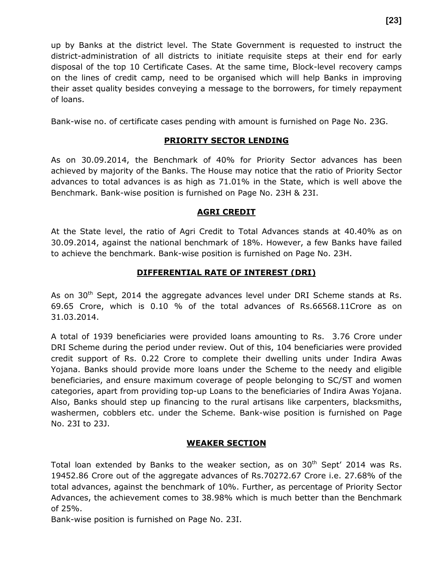up by Banks at the district level. The State Government is requested to instruct the district-administration of all districts to initiate requisite steps at their end for early disposal of the top 10 Certificate Cases. At the same time, Block-level recovery camps on the lines of credit camp, need to be organised which will help Banks in improving their asset quality besides conveying a message to the borrowers, for timely repayment of loans.

Bank-wise no. of certificate cases pending with amount is furnished on Page No. 23G.

## **PRIORITY SECTOR LENDING**

As on 30.09.2014, the Benchmark of 40% for Priority Sector advances has been achieved by majority of the Banks. The House may notice that the ratio of Priority Sector advances to total advances is as high as 71.01% in the State, which is well above the Benchmark. Bank-wise position is furnished on Page No. 23H & 23I.

#### **AGRI CREDIT**

At the State level, the ratio of Agri Credit to Total Advances stands at 40.40% as on 30.09.2014, against the national benchmark of 18%. However, a few Banks have failed to achieve the benchmark. Bank-wise position is furnished on Page No. 23H.

#### **DIFFERENTIAL RATE OF INTEREST (DRI)**

As on 30<sup>th</sup> Sept, 2014 the aggregate advances level under DRI Scheme stands at Rs. 69.65 Crore, which is 0.10 % of the total advances of Rs.66568.11Crore as on 31.03.2014.

A total of 1939 beneficiaries were provided loans amounting to Rs. 3.76 Crore under DRI Scheme during the period under review. Out of this, 104 beneficiaries were provided credit support of Rs. 0.22 Crore to complete their dwelling units under Indira Awas Yojana. Banks should provide more loans under the Scheme to the needy and eligible beneficiaries, and ensure maximum coverage of people belonging to SC/ST and women categories, apart from providing top-up Loans to the beneficiaries of Indira Awas Yojana. Also, Banks should step up financing to the rural artisans like carpenters, blacksmiths, washermen, cobblers etc. under the Scheme. Bank-wise position is furnished on Page No. 23I to 23J.

#### **WEAKER SECTION**

Total loan extended by Banks to the weaker section, as on  $30<sup>th</sup>$  Sept' 2014 was Rs. 19452.86 Crore out of the aggregate advances of Rs.70272.67 Crore i.e. 27.68% of the total advances, against the benchmark of 10%. Further, as percentage of Priority Sector Advances, the achievement comes to 38.98% which is much better than the Benchmark of 25%.

Bank-wise position is furnished on Page No. 23I.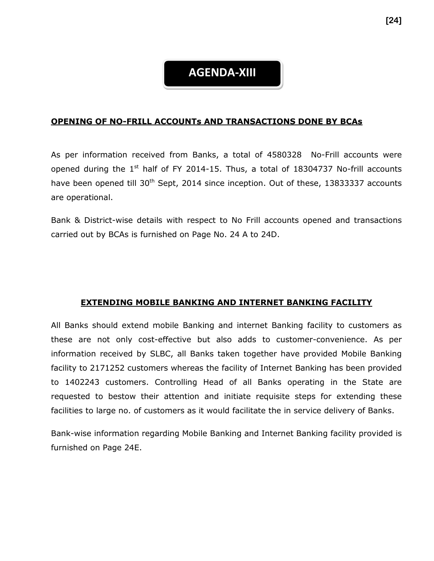# **AGENDA-XIII**

#### **OPENING OF NO-FRILL ACCOUNTs AND TRANSACTIONS DONE BY BCAs**

As per information received from Banks, a total of 4580328 No-Frill accounts were opened during the  $1<sup>st</sup>$  half of FY 2014-15. Thus, a total of 18304737 No-frill accounts have been opened till 30<sup>th</sup> Sept, 2014 since inception. Out of these, 13833337 accounts are operational.

Bank & District-wise details with respect to No Frill accounts opened and transactions carried out by BCAs is furnished on Page No. 24 A to 24D.

#### **EXTENDING MOBILE BANKING AND INTERNET BANKING FACILITY**

All Banks should extend mobile Banking and internet Banking facility to customers as these are not only cost-effective but also adds to customer-convenience. As per information received by SLBC, all Banks taken together have provided Mobile Banking facility to 2171252 customers whereas the facility of Internet Banking has been provided to 1402243 customers. Controlling Head of all Banks operating in the State are requested to bestow their attention and initiate requisite steps for extending these facilities to large no. of customers as it would facilitate the in service delivery of Banks.

Bank-wise information regarding Mobile Banking and Internet Banking facility provided is furnished on Page 24E.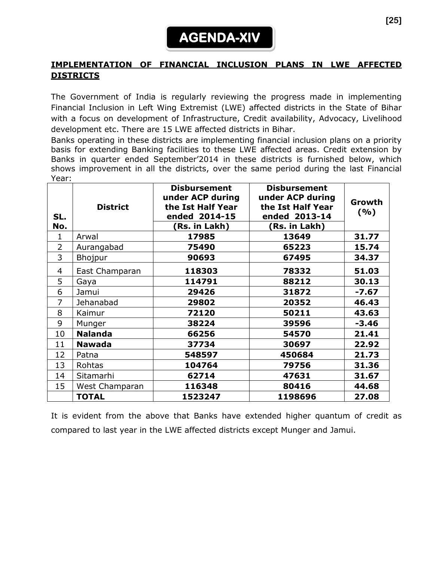## **IMPLEMENTATION OF FINANCIAL INCLUSION PLANS IN LWE AFFECTED DISTRICTS**

The Government of India is regularly reviewing the progress made in implementing Financial Inclusion in Left Wing Extremist (LWE) affected districts in the State of Bihar with a focus on development of Infrastructure, Credit availability, Advocacy, Livelihood development etc. There are 15 LWE affected districts in Bihar.

Banks operating in these districts are implementing financial inclusion plans on a priority basis for extending Banking facilities to these LWE affected areas. Credit extension by Banks in quarter ended September'2014 in these districts is furnished below, which shows improvement in all the districts, over the same period during the last Financial Year:

| SL.<br>No.     | <b>District</b> | <b>Disbursement</b><br>under ACP during<br>the Ist Half Year<br>ended 2014-15<br>(Rs. in Lakh) | <b>Disbursement</b><br>under ACP during<br>the Ist Half Year<br>ended 2013-14<br>(Rs. in Lakh) | Growth<br>(%) |
|----------------|-----------------|------------------------------------------------------------------------------------------------|------------------------------------------------------------------------------------------------|---------------|
| 1              | Arwal           | 17985                                                                                          | 13649                                                                                          | 31.77         |
| $\overline{2}$ | Aurangabad      | 75490                                                                                          | 65223                                                                                          | 15.74         |
| 3              | Bhojpur         | 90693                                                                                          | 67495                                                                                          | 34.37         |
| 4              | East Champaran  | 118303                                                                                         | 78332                                                                                          | 51.03         |
| 5              | Gaya            | 114791                                                                                         | 88212                                                                                          | 30.13         |
| 6              | Jamui           | 29426                                                                                          | 31872                                                                                          | $-7.67$       |
| 7              | Jehanabad       | 29802                                                                                          | 20352                                                                                          | 46.43         |
| 8              | Kaimur          | 72120                                                                                          | 50211                                                                                          | 43.63         |
| 9              | Munger          | 38224                                                                                          | 39596                                                                                          | $-3.46$       |
| 10             | <b>Nalanda</b>  | 66256                                                                                          | 54570                                                                                          | 21.41         |
| 11             | <b>Nawada</b>   | 37734                                                                                          | 30697                                                                                          | 22.92         |
| 12             | Patna           | 548597                                                                                         | 450684                                                                                         | 21.73         |
| 13             | Rohtas          | 104764                                                                                         | 79756                                                                                          | 31.36         |
| 14             | Sitamarhi       | 62714                                                                                          | 47631                                                                                          | 31.67         |
| 15             | West Champaran  | 116348                                                                                         | 80416                                                                                          | 44.68         |
|                | <b>TOTAL</b>    | 1523247                                                                                        | 1198696                                                                                        | 27.08         |

It is evident from the above that Banks have extended higher quantum of credit as compared to last year in the LWE affected districts except Munger and Jamui.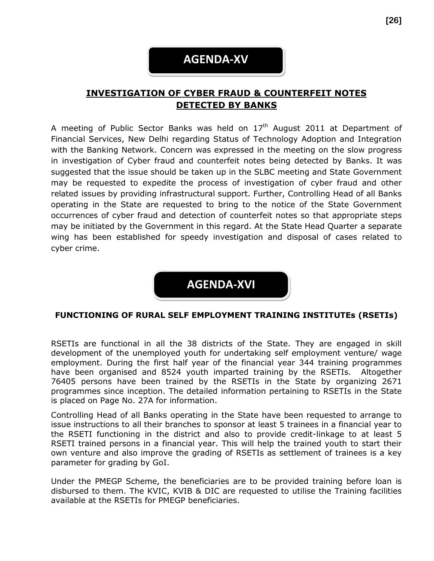# **AGENDA-XV**

## **INVESTIGATION OF CYBER FRAUD & COUNTERFEIT NOTES DETECTED BY BANKS**

A meeting of Public Sector Banks was held on  $17<sup>th</sup>$  August 2011 at Department of Financial Services, New Delhi regarding Status of Technology Adoption and Integration with the Banking Network. Concern was expressed in the meeting on the slow progress in investigation of Cyber fraud and counterfeit notes being detected by Banks. It was suggested that the issue should be taken up in the SLBC meeting and State Government may be requested to expedite the process of investigation of cyber fraud and other related issues by providing infrastructural support. Further, Controlling Head of all Banks operating in the State are requested to bring to the notice of the State Government occurrences of cyber fraud and detection of counterfeit notes so that appropriate steps may be initiated by the Government in this regard. At the State Head Quarter a separate wing has been established for speedy investigation and disposal of cases related to cyber crime.



#### **FUNCTIONING OF RURAL SELF EMPLOYMENT TRAINING INSTITUTEs (RSETIs)**

RSETIs are functional in all the 38 districts of the State. They are engaged in skill development of the unemployed youth for undertaking self employment venture/ wage employment. During the first half year of the financial year 344 training programmes have been organised and 8524 youth imparted training by the RSETIs. Altogether 76405 persons have been trained by the RSETIs in the State by organizing 2671 programmes since inception. The detailed information pertaining to RSETIs in the State is placed on Page No. 27A for information.

Controlling Head of all Banks operating in the State have been requested to arrange to issue instructions to all their branches to sponsor at least 5 trainees in a financial year to the RSETI functioning in the district and also to provide credit-linkage to at least 5 RSETI trained persons in a financial year. This will help the trained youth to start their own venture and also improve the grading of RSETIs as settlement of trainees is a key parameter for grading by GoI.

Under the PMEGP Scheme, the beneficiaries are to be provided training before loan is disbursed to them. The KVIC, KVIB & DIC are requested to utilise the Training facilities available at the RSETIs for PMEGP beneficiaries.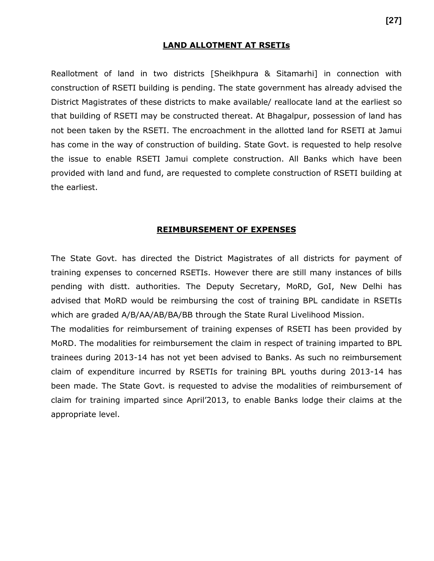#### **LAND ALLOTMENT AT RSETIs**

Reallotment of land in two districts [Sheikhpura & Sitamarhi] in connection with construction of RSETI building is pending. The state government has already advised the District Magistrates of these districts to make available/ reallocate land at the earliest so that building of RSETI may be constructed thereat. At Bhagalpur, possession of land has not been taken by the RSETI. The encroachment in the allotted land for RSETI at Jamui has come in the way of construction of building. State Govt. is requested to help resolve the issue to enable RSETI Jamui complete construction. All Banks which have been provided with land and fund, are requested to complete construction of RSETI building at the earliest.

#### **REIMBURSEMENT OF EXPENSES**

The State Govt. has directed the District Magistrates of all districts for payment of training expenses to concerned RSETIs. However there are still many instances of bills pending with distt. authorities. The Deputy Secretary, MoRD, GoI, New Delhi has advised that MoRD would be reimbursing the cost of training BPL candidate in RSETIs which are graded A/B/AA/AB/BA/BB through the State Rural Livelihood Mission.

The modalities for reimbursement of training expenses of RSETI has been provided by MoRD. The modalities for reimbursement the claim in respect of training imparted to BPL trainees during 2013-14 has not yet been advised to Banks. As such no reimbursement claim of expenditure incurred by RSETIs for training BPL youths during 2013-14 has been made. The State Govt. is requested to advise the modalities of reimbursement of claim for training imparted since April'2013, to enable Banks lodge their claims at the appropriate level.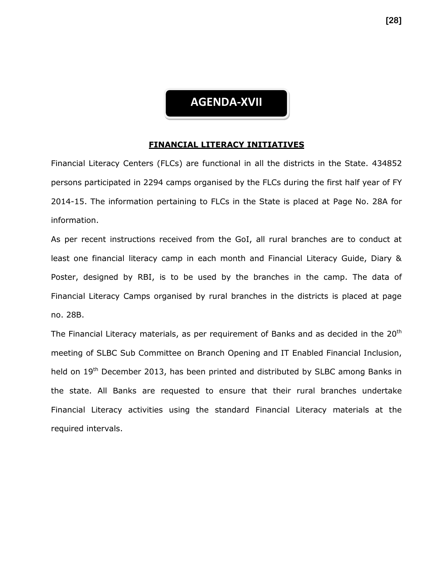# **AGENDA-XVII**

#### **FINANCIAL LITERACY INITIATIVES**

Financial Literacy Centers (FLCs) are functional in all the districts in the State. 434852 persons participated in 2294 camps organised by the FLCs during the first half year of FY 2014-15. The information pertaining to FLCs in the State is placed at Page No. 28A for information.

As per recent instructions received from the GoI, all rural branches are to conduct at least one financial literacy camp in each month and Financial Literacy Guide, Diary & Poster, designed by RBI, is to be used by the branches in the camp. The data of Financial Literacy Camps organised by rural branches in the districts is placed at page no. 28B.

The Financial Literacy materials, as per requirement of Banks and as decided in the  $20<sup>th</sup>$ meeting of SLBC Sub Committee on Branch Opening and IT Enabled Financial Inclusion, held on 19<sup>th</sup> December 2013, has been printed and distributed by SLBC among Banks in the state. All Banks are requested to ensure that their rural branches undertake Financial Literacy activities using the standard Financial Literacy materials at the required intervals.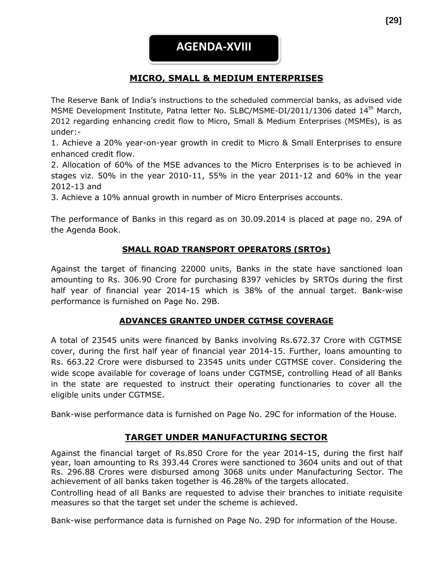## **MICRO, SMALL & MEDIUM ENTERPRISES**

The Reserve Bank of India's instructions to the scheduled commercial banks, as advised vide MSME Development Institute, Patna letter No. SLBC/MSME-DI/2011/1306 dated 14<sup>th</sup> March, 2012 regarding enhancing credit flow to Micro, Small & Medium Enterprises (MSMEs), is as under:-

1. Achieve a 20% year-on-year growth in credit to Micro & Small Enterprises to ensure enhanced credit flow.

2. Allocation of 60% of the MSE advances to the Micro Enterprises is to be achieved in stages viz. 50% in the year 2010-11, 55% in the year 2011-12 and 60% in the year 2012-13 and

3. Achieve a 10% annual growth in number of Micro Enterprises accounts.

The performance of Banks in this regard as on 30.09.2014 is placed at page no. 29A of the Agenda Book.

## **SMALL ROAD TRANSPORT OPERATORS (SRTOs)**

Against the target of financing 22000 units, Banks in the state have sanctioned loan amounting to Rs. 306.90 Crore for purchasing 8397 vehicles by SRTOs during the first half year of financial year 2014-15 which is 38% of the annual target. Bank-wise performance is furnished on Page No. 29B.

## **ADVANCES GRANTED UNDER CGTMSE COVERAGE**

A total of 23545 units were financed by Banks involving Rs.672.37 Crore with CGTMSE cover, during the first half year of financial year 2014-15. Further, loans amounting to Rs. 663.22 Crore were disbursed to 23545 units under CGTMSE cover. Considering the wide scope available for coverage of loans under CGTMSE, controlling Head of all Banks in the state are requested to instruct their operating functionaries to cover all the eligible units under CGTMSE.

Bank-wise performance data is furnished on Page No. 29C for information of the House.

## **TARGET UNDER MANUFACTURING SECTOR**

Against the financial target of Rs.850 Crore for the year 2014-15, during the first half year, loan amounting to Rs 393.44 Crores were sanctioned to 3604 units and out of that Rs. 296.88 Crores were disbursed among 3068 units under Manufacturing Sector. The achievement of all banks taken together is 46.28% of the targets allocated.

Controlling head of all Banks are requested to advise their branches to initiate requisite measures so that the target set under the scheme is achieved.

Bank-wise performance data is furnished on Page No. 29D for information of the House.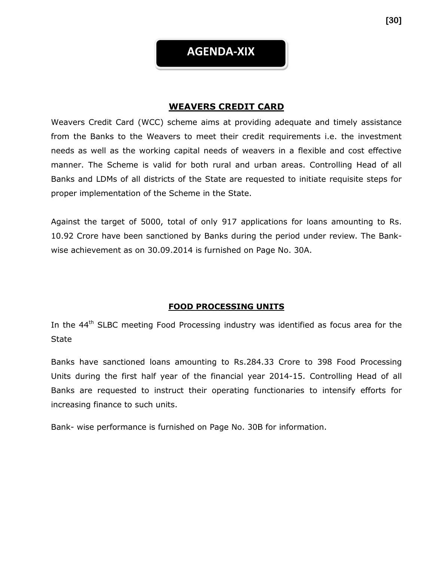**AGENDA-XIX**

## **WEAVERS CREDIT CARD**

Weavers Credit Card (WCC) scheme aims at providing adequate and timely assistance from the Banks to the Weavers to meet their credit requirements i.e. the investment needs as well as the working capital needs of weavers in a flexible and cost effective manner. The Scheme is valid for both rural and urban areas. Controlling Head of all Banks and LDMs of all districts of the State are requested to initiate requisite steps for proper implementation of the Scheme in the State.

Against the target of 5000, total of only 917 applications for loans amounting to Rs. 10.92 Crore have been sanctioned by Banks during the period under review. The Bankwise achievement as on 30.09.2014 is furnished on Page No. 30A.

#### **FOOD PROCESSING UNITS**

In the  $44<sup>th</sup>$  SLBC meeting Food Processing industry was identified as focus area for the **State** 

Banks have sanctioned loans amounting to Rs.284.33 Crore to 398 Food Processing Units during the first half year of the financial year 2014-15. Controlling Head of all Banks are requested to instruct their operating functionaries to intensify efforts for increasing finance to such units.

Bank- wise performance is furnished on Page No. 30B for information.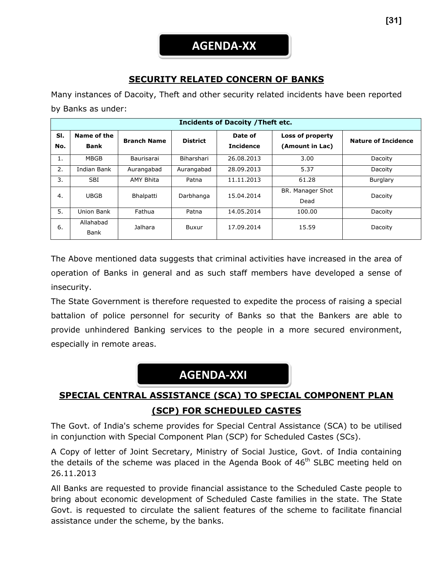## **SECURITY RELATED CONCERN OF BANKS**

Many instances of Dacoity, Theft and other security related incidents have been reported by Banks as under:

| <b>Incidents of Dacoity / Theft etc.</b> |                            |                    |                 |                             |                                     |                            |  |
|------------------------------------------|----------------------------|--------------------|-----------------|-----------------------------|-------------------------------------|----------------------------|--|
| SI.<br>No.                               | Name of the<br><b>Bank</b> | <b>Branch Name</b> | <b>District</b> | Date of<br><b>Incidence</b> | Loss of property<br>(Amount in Lac) | <b>Nature of Incidence</b> |  |
| 1.                                       | <b>MBGB</b>                | Baurisarai         | Biharshari      | 26.08.2013                  | 3.00                                | Dacoity                    |  |
| 2.                                       | Indian Bank                | Aurangabad         | Aurangabad      | 28.09.2013                  | 5.37                                | Dacoity                    |  |
| 3.                                       | <b>SBI</b>                 | <b>AMY Bhita</b>   | Patna           | 11.11.2013                  | 61.28                               | Burglary                   |  |
| 4.                                       | <b>UBGB</b>                | Bhalpatti          | Darbhanga       | 15.04.2014                  | BR. Manager Shot<br>Dead            | Dacoity                    |  |
| 5.                                       | Union Bank                 | Fathua             | Patna           | 14.05.2014                  | 100.00                              | Dacoity                    |  |
| 6.                                       | Allahabad<br>Bank          | Jalhara            | Buxur           | 17.09.2014                  | 15.59                               | Dacoity                    |  |

The Above mentioned data suggests that criminal activities have increased in the area of operation of Banks in general and as such staff members have developed a sense of insecurity.

The State Government is therefore requested to expedite the process of raising a special battalion of police personnel for security of Banks so that the Bankers are able to provide unhindered Banking services to the people in a more secured environment, especially in remote areas.

# **AGENDA-XXI**

# **SPECIAL CENTRAL ASSISTANCE (SCA) TO SPECIAL COMPONENT PLAN (SCP) FOR SCHEDULED CASTES**

The Govt. of India's scheme provides for Special Central Assistance (SCA) to be utilised in conjunction with Special Component Plan (SCP) for Scheduled Castes (SCs).

A Copy of letter of Joint Secretary, Ministry of Social Justice, Govt. of India containing the details of the scheme was placed in the Agenda Book of 46<sup>th</sup> SLBC meeting held on 26.11.2013

All Banks are requested to provide financial assistance to the Scheduled Caste people to bring about economic development of Scheduled Caste families in the state. The State Govt. is requested to circulate the salient features of the scheme to facilitate financial assistance under the scheme, by the banks.